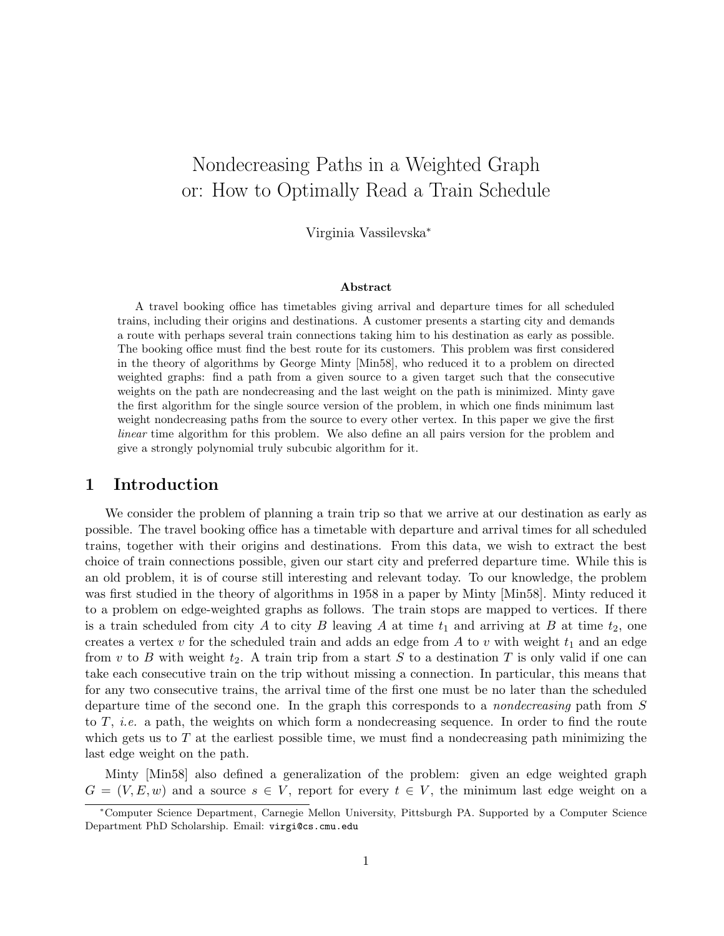# Nondecreasing Paths in a Weighted Graph or: How to Optimally Read a Train Schedule

Virginia Vassilevska<sup>∗</sup>

#### Abstract

A travel booking office has timetables giving arrival and departure times for all scheduled trains, including their origins and destinations. A customer presents a starting city and demands a route with perhaps several train connections taking him to his destination as early as possible. The booking office must find the best route for its customers. This problem was first considered in the theory of algorithms by George Minty [Min58], who reduced it to a problem on directed weighted graphs: find a path from a given source to a given target such that the consecutive weights on the path are nondecreasing and the last weight on the path is minimized. Minty gave the first algorithm for the single source version of the problem, in which one finds minimum last weight nondecreasing paths from the source to every other vertex. In this paper we give the first linear time algorithm for this problem. We also define an all pairs version for the problem and give a strongly polynomial truly subcubic algorithm for it.

#### 1 Introduction

We consider the problem of planning a train trip so that we arrive at our destination as early as possible. The travel booking office has a timetable with departure and arrival times for all scheduled trains, together with their origins and destinations. From this data, we wish to extract the best choice of train connections possible, given our start city and preferred departure time. While this is an old problem, it is of course still interesting and relevant today. To our knowledge, the problem was first studied in the theory of algorithms in 1958 in a paper by Minty [Min58]. Minty reduced it to a problem on edge-weighted graphs as follows. The train stops are mapped to vertices. If there is a train scheduled from city A to city B leaving A at time  $t_1$  and arriving at B at time  $t_2$ , one creates a vertex  $v$  for the scheduled train and adds an edge from  $A$  to  $v$  with weight  $t_1$  and an edge from v to B with weight  $t_2$ . A train trip from a start S to a destination T is only valid if one can take each consecutive train on the trip without missing a connection. In particular, this means that for any two consecutive trains, the arrival time of the first one must be no later than the scheduled departure time of the second one. In the graph this corresponds to a nondecreasing path from S to  $T$ , *i.e.* a path, the weights on which form a nondecreasing sequence. In order to find the route which gets us to  $T$  at the earliest possible time, we must find a nondecreasing path minimizing the last edge weight on the path.

Minty [Min58] also defined a generalization of the problem: given an edge weighted graph  $G = (V, E, w)$  and a source  $s \in V$ , report for every  $t \in V$ , the minimum last edge weight on a

<sup>∗</sup>Computer Science Department, Carnegie Mellon University, Pittsburgh PA. Supported by a Computer Science Department PhD Scholarship. Email: virgi@cs.cmu.edu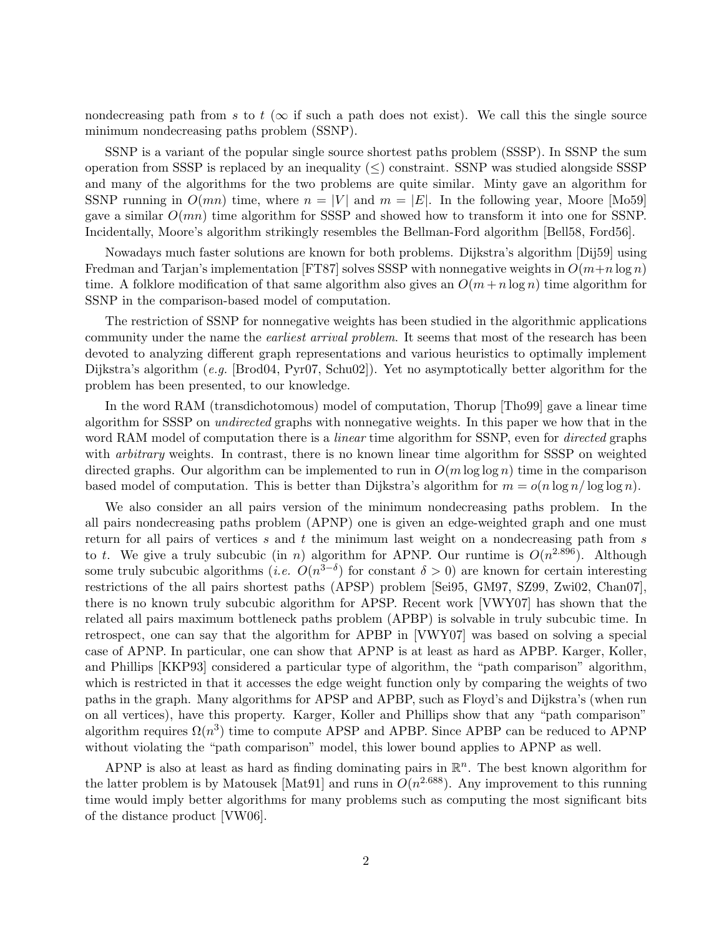nondecreasing path from s to t ( $\infty$  if such a path does not exist). We call this the single source minimum nondecreasing paths problem (SSNP).

SSNP is a variant of the popular single source shortest paths problem (SSSP). In SSNP the sum operation from SSSP is replaced by an inequality  $(\leq)$  constraint. SSNP was studied alongside SSSP and many of the algorithms for the two problems are quite similar. Minty gave an algorithm for SSNP running in  $O(mn)$  time, where  $n = |V|$  and  $m = |E|$ . In the following year, Moore [Mo59] gave a similar  $O(mn)$  time algorithm for SSSP and showed how to transform it into one for SSNP. Incidentally, Moore's algorithm strikingly resembles the Bellman-Ford algorithm [Bell58, Ford56].

Nowadays much faster solutions are known for both problems. Dijkstra's algorithm [Dij59] using Fredman and Tarjan's implementation [FT87] solves SSSP with nonnegative weights in  $O(m+n \log n)$ time. A folklore modification of that same algorithm also gives an  $O(m + n \log n)$  time algorithm for SSNP in the comparison-based model of computation.

The restriction of SSNP for nonnegative weights has been studied in the algorithmic applications community under the name the *earliest arrival problem*. It seems that most of the research has been devoted to analyzing different graph representations and various heuristics to optimally implement Dijkstra's algorithm (e.g. [Brod04, Pyr07, Schu02]). Yet no asymptotically better algorithm for the problem has been presented, to our knowledge.

In the word RAM (transdichotomous) model of computation, Thorup [Tho99] gave a linear time algorithm for SSSP on undirected graphs with nonnegative weights. In this paper we how that in the word RAM model of computation there is a *linear* time algorithm for SSNP, even for *directed* graphs with *arbitrary* weights. In contrast, there is no known linear time algorithm for SSSP on weighted directed graphs. Our algorithm can be implemented to run in  $O(m \log \log n)$  time in the comparison based model of computation. This is better than Dijkstra's algorithm for  $m = o(n \log n / \log \log n)$ .

We also consider an all pairs version of the minimum nondecreasing paths problem. In the all pairs nondecreasing paths problem (APNP) one is given an edge-weighted graph and one must return for all pairs of vertices  $s$  and  $t$  the minimum last weight on a nondecreasing path from  $s$ to t. We give a truly subcubic (in n) algorithm for APNP. Our runtime is  $O(n^{2.896})$ . Although some truly subcubic algorithms (*i.e.*  $O(n^{3-\delta})$  for constant  $\delta > 0$ ) are known for certain interesting restrictions of the all pairs shortest paths (APSP) problem [Sei95, GM97, SZ99, Zwi02, Chan07], there is no known truly subcubic algorithm for APSP. Recent work [VWY07] has shown that the related all pairs maximum bottleneck paths problem (APBP) is solvable in truly subcubic time. In retrospect, one can say that the algorithm for APBP in [VWY07] was based on solving a special case of APNP. In particular, one can show that APNP is at least as hard as APBP. Karger, Koller, and Phillips [KKP93] considered a particular type of algorithm, the "path comparison" algorithm, which is restricted in that it accesses the edge weight function only by comparing the weights of two paths in the graph. Many algorithms for APSP and APBP, such as Floyd's and Dijkstra's (when run on all vertices), have this property. Karger, Koller and Phillips show that any "path comparison" algorithm requires  $\Omega(n^3)$  time to compute APSP and APBP. Since APBP can be reduced to APNP without violating the "path comparison" model, this lower bound applies to APNP as well.

APNP is also at least as hard as finding dominating pairs in  $\mathbb{R}^n$ . The best known algorithm for the latter problem is by Matousek [Mat91] and runs in  $O(n^{2.688})$ . Any improvement to this running time would imply better algorithms for many problems such as computing the most significant bits of the distance product [VW06].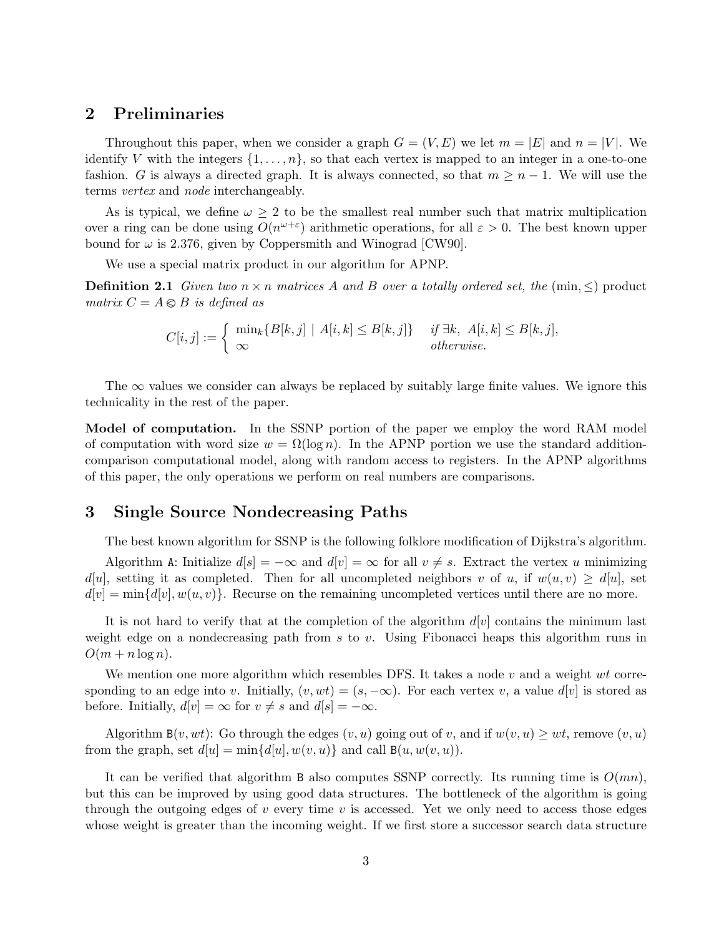### 2 Preliminaries

Throughout this paper, when we consider a graph  $G = (V, E)$  we let  $m = |E|$  and  $n = |V|$ . We identify V with the integers  $\{1, \ldots, n\}$ , so that each vertex is mapped to an integer in a one-to-one fashion. G is always a directed graph. It is always connected, so that  $m \geq n-1$ . We will use the terms vertex and node interchangeably.

As is typical, we define  $\omega \geq 2$  to be the smallest real number such that matrix multiplication over a ring can be done using  $O(n^{\omega+\epsilon})$  arithmetic operations, for all  $\epsilon > 0$ . The best known upper bound for  $\omega$  is 2.376, given by Coppersmith and Winograd [CW90].

We use a special matrix product in our algorithm for APNP.

**Definition 2.1** Given two  $n \times n$  matrices A and B over a totally ordered set, the (min,  $\leq$ ) product matrix  $C = A \otimes B$  is defined as

$$
C[i,j] := \begin{cases} \min_k \{B[k,j] \mid A[i,k] \leq B[k,j] \} & \text{if } \exists k, \ A[i,k] \leq B[k,j], \\ \infty & \text{otherwise.} \end{cases}
$$

The  $\infty$  values we consider can always be replaced by suitably large finite values. We ignore this technicality in the rest of the paper.

Model of computation. In the SSNP portion of the paper we employ the word RAM model of computation with word size  $w = \Omega(\log n)$ . In the APNP portion we use the standard additioncomparison computational model, along with random access to registers. In the APNP algorithms of this paper, the only operations we perform on real numbers are comparisons.

### 3 Single Source Nondecreasing Paths

The best known algorithm for SSNP is the following folklore modification of Dijkstra's algorithm.

Algorithm A: Initialize  $d[s] = -\infty$  and  $d[v] = \infty$  for all  $v \neq s$ . Extract the vertex u minimizing  $d[u]$ , setting it as completed. Then for all uncompleted neighbors v of u, if  $w(u, v) \geq d[u]$ , set  $d[v] = \min\{d[v], w(u, v)\}.$  Recurse on the remaining uncompleted vertices until there are no more.

It is not hard to verify that at the completion of the algorithm  $d[v]$  contains the minimum last weight edge on a nondecreasing path from  $s$  to  $v$ . Using Fibonacci heaps this algorithm runs in  $O(m + n \log n)$ .

We mention one more algorithm which resembles DFS. It takes a node  $v$  and a weight  $wt$  corresponding to an edge into v. Initially,  $(v, wt) = (s, -\infty)$ . For each vertex v, a value  $d[v]$  is stored as before. Initially,  $d[v] = \infty$  for  $v \neq s$  and  $d[s] = -\infty$ .

Algorithm  $B(v, wt)$ : Go through the edges  $(v, u)$  going out of v, and if  $w(v, u) \geq wt$ , remove  $(v, u)$ from the graph, set  $d[u] = min{d[u], w(v, u)}$  and call  $B(u, w(v, u))$ .

It can be verified that algorithm B also computes SSNP correctly. Its running time is  $O(mn)$ , but this can be improved by using good data structures. The bottleneck of the algorithm is going through the outgoing edges of  $v$  every time  $v$  is accessed. Yet we only need to access those edges whose weight is greater than the incoming weight. If we first store a successor search data structure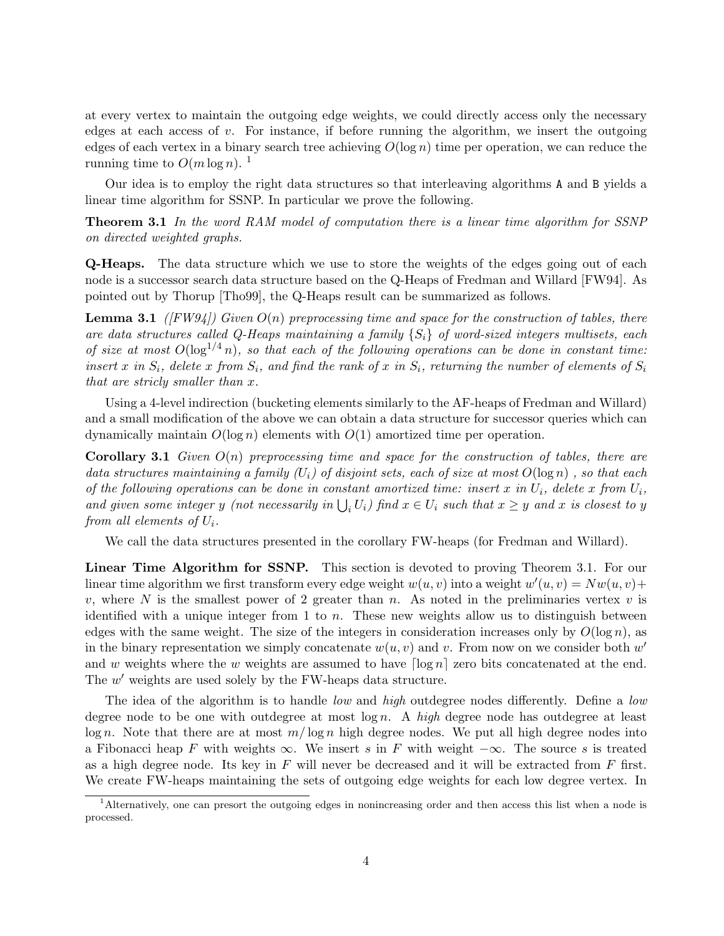at every vertex to maintain the outgoing edge weights, we could directly access only the necessary edges at each access of  $v$ . For instance, if before running the algorithm, we insert the outgoing edges of each vertex in a binary search tree achieving  $O(\log n)$  time per operation, we can reduce the running time to  $O(m \log n)^{-1}$ 

Our idea is to employ the right data structures so that interleaving algorithms A and B yields a linear time algorithm for SSNP. In particular we prove the following.

Theorem 3.1 In the word RAM model of computation there is a linear time algorithm for SSNP on directed weighted graphs.

Q-Heaps. The data structure which we use to store the weights of the edges going out of each node is a successor search data structure based on the Q-Heaps of Fredman and Willard [FW94]. As pointed out by Thorup [Tho99], the Q-Heaps result can be summarized as follows.

**Lemma 3.1** ([FW94]) Given  $O(n)$  preprocessing time and space for the construction of tables, there are data structures called Q-Heaps maintaining a family  $\{S_i\}$  of word-sized integers multisets, each of size at most  $O(\log^{1/4} n)$ , so that each of the following operations can be done in constant time: insert x in  $S_i$ , delete x from  $S_i$ , and find the rank of x in  $S_i$ , returning the number of elements of  $S_i$ that are stricly smaller than x.

Using a 4-level indirection (bucketing elements similarly to the AF-heaps of Fredman and Willard) and a small modification of the above we can obtain a data structure for successor queries which can dynamically maintain  $O(\log n)$  elements with  $O(1)$  amortized time per operation.

**Corollary 3.1** Given  $O(n)$  preprocessing time and space for the construction of tables, there are data structures maintaining a family  $(U_i)$  of disjoint sets, each of size at most  $O(\log n)$ , so that each of the following operations can be done in constant amortized time: insert x in  $U_i$ , delete x from  $U_i$ , and given some integer y (not necessarily in  $\bigcup_i U_i$ ) find  $x \in U_i$  such that  $x \geq y$  and x is closest to y from all elements of  $U_i$ .

We call the data structures presented in the corollary FW-heaps (for Fredman and Willard).

Linear Time Algorithm for SSNP. This section is devoted to proving Theorem 3.1. For our linear time algorithm we first transform every edge weight  $w(u, v)$  into a weight  $w'(u, v) = Nw(u, v) +$ v, where N is the smallest power of 2 greater than n. As noted in the preliminaries vertex v is identified with a unique integer from 1 to  $n$ . These new weights allow us to distinguish between edges with the same weight. The size of the integers in consideration increases only by  $O(\log n)$ , as in the binary representation we simply concatenate  $w(u, v)$  and v. From now on we consider both  $w'$ and w weights where the w weights are assumed to have  $\lceil \log n \rceil$  zero bits concatenated at the end. The  $w'$  weights are used solely by the FW-heaps data structure.

The idea of the algorithm is to handle *low* and *high* outdegree nodes differently. Define a *low* degree node to be one with outdegree at most  $\log n$ . A high degree node has outdegree at least  $\log n$ . Note that there are at most  $m/\log n$  high degree nodes. We put all high degree nodes into a Fibonacci heap F with weights  $\infty$ . We insert s in F with weight  $-\infty$ . The source s is treated as a high degree node. Its key in  $F$  will never be decreased and it will be extracted from  $F$  first. We create FW-heaps maintaining the sets of outgoing edge weights for each low degree vertex. In

<sup>1</sup>Alternatively, one can presort the outgoing edges in nonincreasing order and then access this list when a node is processed.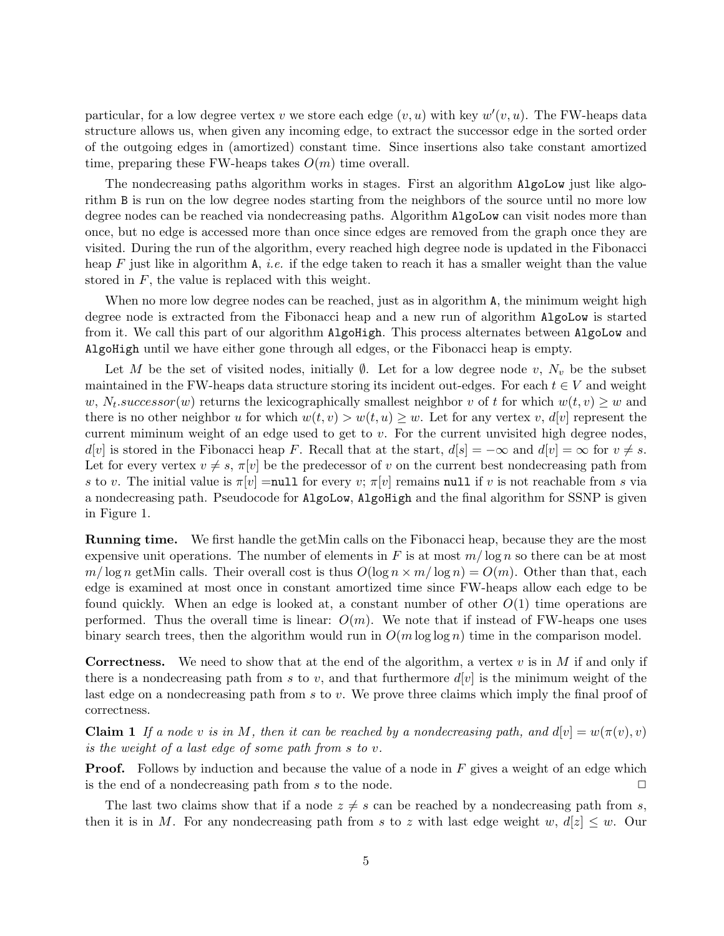particular, for a low degree vertex v we store each edge  $(v, u)$  with key  $w'(v, u)$ . The FW-heaps data structure allows us, when given any incoming edge, to extract the successor edge in the sorted order of the outgoing edges in (amortized) constant time. Since insertions also take constant amortized time, preparing these FW-heaps takes  $O(m)$  time overall.

The nondecreasing paths algorithm works in stages. First an algorithm AlgoLow just like algorithm B is run on the low degree nodes starting from the neighbors of the source until no more low degree nodes can be reached via nondecreasing paths. Algorithm  $Algolow$  can visit nodes more than once, but no edge is accessed more than once since edges are removed from the graph once they are visited. During the run of the algorithm, every reached high degree node is updated in the Fibonacci heap F just like in algorithm A, *i.e.* if the edge taken to reach it has a smaller weight than the value stored in F, the value is replaced with this weight.

When no more low degree nodes can be reached, just as in algorithm A, the minimum weight high degree node is extracted from the Fibonacci heap and a new run of algorithm AlgoLow is started from it. We call this part of our algorithm AlgoHigh. This process alternates between AlgoLow and AlgoHigh until we have either gone through all edges, or the Fibonacci heap is empty.

Let M be the set of visited nodes, initially  $\emptyset$ . Let for a low degree node v,  $N_v$  be the subset maintained in the FW-heaps data structure storing its incident out-edges. For each  $t \in V$  and weight w,  $N_t$  successor(w) returns the lexicographically smallest neighbor v of t for which  $w(t, v) \geq w$  and there is no other neighbor u for which  $w(t, v) > w(t, u) \geq w$ . Let for any vertex v,  $d[v]$  represent the current miminum weight of an edge used to get to  $v$ . For the current unvisited high degree nodes,  $d[v]$  is stored in the Fibonacci heap F. Recall that at the start,  $d[s] = -\infty$  and  $d[v] = \infty$  for  $v \neq s$ . Let for every vertex  $v \neq s$ ,  $\pi[v]$  be the predecessor of v on the current best nondecreasing path from s to v. The initial value is  $\pi[v] = \text{null}$  for every v;  $\pi[v]$  remains null if v is not reachable from s via a nondecreasing path. Pseudocode for AlgoLow, AlgoHigh and the final algorithm for SSNP is given in Figure 1.

Running time. We first handle the getMin calls on the Fibonacci heap, because they are the most expensive unit operations. The number of elements in F is at most  $m/\log n$  so there can be at most  $m/\log n$  getMin calls. Their overall cost is thus  $O(\log n \times m/\log n) = O(m)$ . Other than that, each edge is examined at most once in constant amortized time since FW-heaps allow each edge to be found quickly. When an edge is looked at, a constant number of other  $O(1)$  time operations are performed. Thus the overall time is linear:  $O(m)$ . We note that if instead of FW-heaps one uses binary search trees, then the algorithm would run in  $O(m \log \log n)$  time in the comparison model.

**Correctness.** We need to show that at the end of the algorithm, a vertex v is in M if and only if there is a nondecreasing path from s to v, and that furthermore  $d[v]$  is the minimum weight of the last edge on a nondecreasing path from s to v. We prove three claims which imply the final proof of correctness.

**Claim 1** If a node v is in M, then it can be reached by a nondecreasing path, and  $d[v] = w(\pi(v), v)$ is the weight of a last edge of some path from s to v.

**Proof.** Follows by induction and because the value of a node in F gives a weight of an edge which is the end of a nondecreasing path from s to the node.  $\Box$ 

The last two claims show that if a node  $z \neq s$  can be reached by a nondecreasing path from s, then it is in M. For any nondecreasing path from s to z with last edge weight w,  $d[z] \leq w$ . Our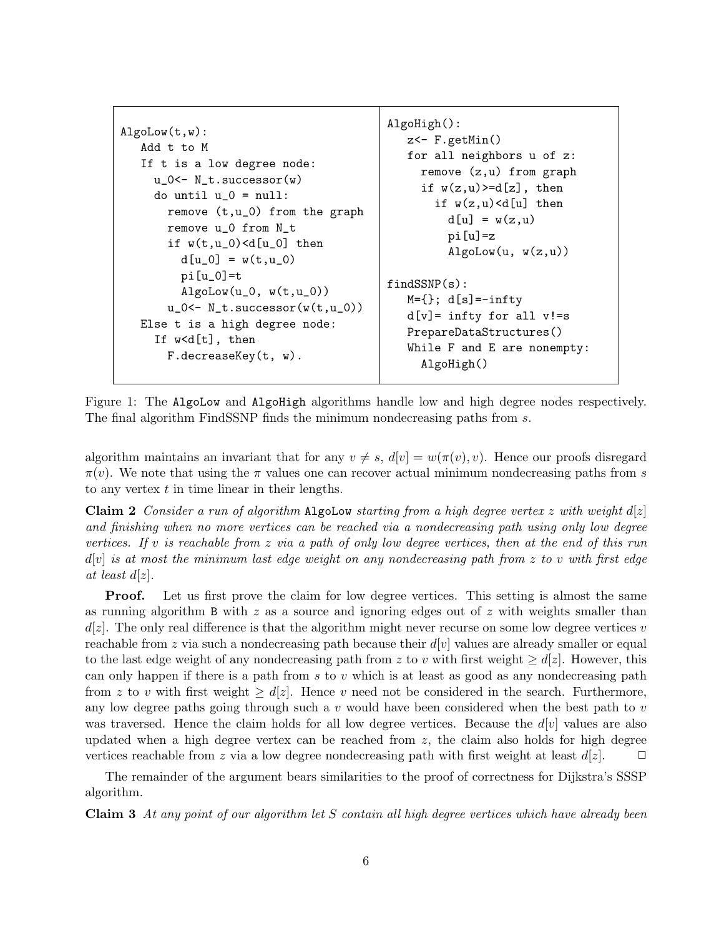```
AlgoLow(t,w):
Add t to M
If t is a low degree node:
  u_0<- N_t.successor(w)
  do until u_0 = null:
    remove (t,u_0) from the graph
    remove u_0 from N_t
    if w(t, u_0) < d[u_0] then
       d[u_0] = w(t, u_0)pi[u_0]=t
       \text{Algolow}(u_0, w(t, u_0))u_0 \leftarrow N_t.successor(w(t, u_0))Else t is a high degree node:
  If w<d[t], then
    F.decreaseKey(t, w).
                                         AlgoHigh():
                                            z - F.getMin()for all neighbors u of z:
                                              remove (z,u) from graph
                                              if w(z, u) \geq d[z], then
                                                if w(z, u) < d[u] then
                                                  d[u] = w(z, u)pi[u]=z
                                                  \text{Algolow}(u, w(z, u))findSSNP(s):
                                            M=\{\}; d[s]=-infty
                                            d[v] = \text{infty for all } v!=sPrepareDataStructures()
                                            While F and E are nonempty:
                                              AlgoHigh()
```
Figure 1: The AlgoLow and AlgoHigh algorithms handle low and high degree nodes respectively. The final algorithm FindSSNP finds the minimum nondecreasing paths from s.

algorithm maintains an invariant that for any  $v \neq s$ ,  $d[v] = w(\pi(v), v)$ . Hence our proofs disregard  $\pi(v)$ . We note that using the  $\pi$  values one can recover actual minimum nondecreasing paths from s to any vertex  $t$  in time linear in their lengths.

Claim 2 Consider a run of algorithm AlgoLow starting from a high degree vertex z with weight  $d[z]$ and finishing when no more vertices can be reached via a nondecreasing path using only low degree vertices. If v is reachable from z via a path of only low degree vertices, then at the end of this run  $d[v]$  is at most the minimum last edge weight on any nondecreasing path from z to v with first edge at least  $d[z]$ .

Proof. Let us first prove the claim for low degree vertices. This setting is almost the same as running algorithm B with  $z$  as a source and ignoring edges out of  $z$  with weights smaller than  $d(z)$ . The only real difference is that the algorithm might never recurse on some low degree vertices v reachable from z via such a nondecreasing path because their  $d[v]$  values are already smaller or equal to the last edge weight of any nondecreasing path from z to v with first weight  $\geq d(z)$ . However, this can only happen if there is a path from  $s$  to  $v$  which is at least as good as any nondecreasing path from z to v with first weight  $\geq d|z|$ . Hence v need not be considered in the search. Furthermore, any low degree paths going through such a  $v$  would have been considered when the best path to  $v$ was traversed. Hence the claim holds for all low degree vertices. Because the  $d[v]$  values are also updated when a high degree vertex can be reached from  $z$ , the claim also holds for high degree vertices reachable from z via a low degree nondecreasing path with first weight at least  $d[z]$ .  $\Box$ 

The remainder of the argument bears similarities to the proof of correctness for Dijkstra's SSSP algorithm.

Claim 3 At any point of our algorithm let S contain all high degree vertices which have already been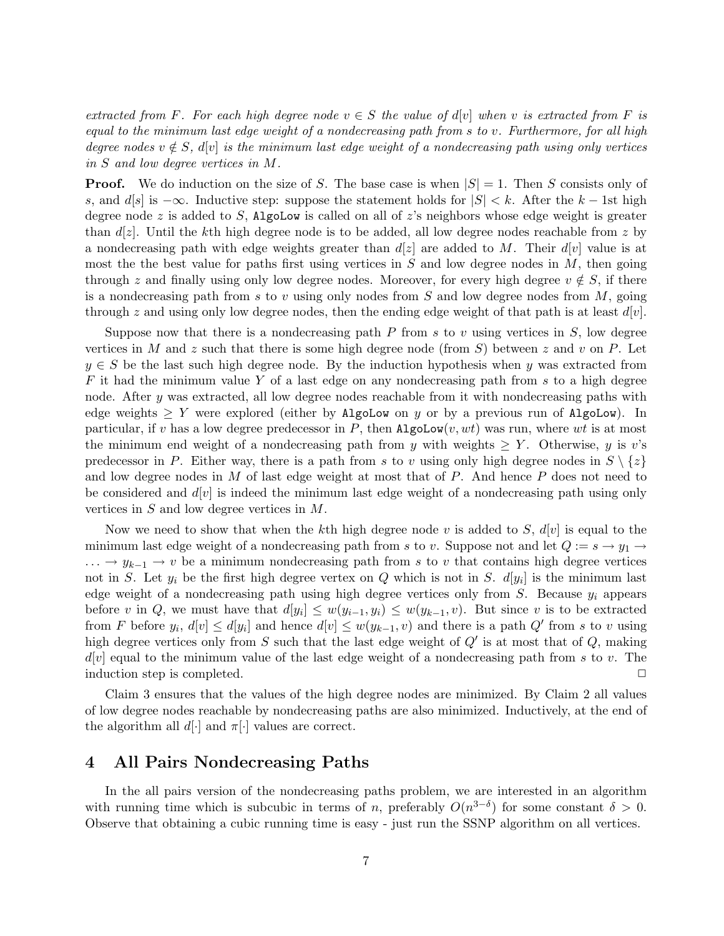extracted from F. For each high degree node  $v \in S$  the value of d[v] when v is extracted from F is equal to the minimum last edge weight of a nondecreasing path from s to v. Furthermore, for all high degree nodes  $v \notin S$ ,  $d[v]$  is the minimum last edge weight of a nondecreasing path using only vertices in S and low degree vertices in M.

**Proof.** We do induction on the size of S. The base case is when  $|S| = 1$ . Then S consists only of s, and d[s] is  $-\infty$ . Inductive step: suppose the statement holds for  $|S| < k$ . After the k – 1st high degree node z is added to S, AlgoLow is called on all of z's neighbors whose edge weight is greater than  $d[z]$ . Until the kth high degree node is to be added, all low degree nodes reachable from z by a nondecreasing path with edge weights greater than  $d[z]$  are added to M. Their  $d[v]$  value is at most the the best value for paths first using vertices in  $S$  and low degree nodes in  $M$ , then going through z and finally using only low degree nodes. Moreover, for every high degree  $v \notin S$ , if there is a nondecreasing path from s to v using only nodes from  $S$  and low degree nodes from  $M$ , going through z and using only low degree nodes, then the ending edge weight of that path is at least  $d[v]$ .

Suppose now that there is a nondecreasing path  $P$  from s to v using vertices in  $S$ , low degree vertices in M and z such that there is some high degree node (from S) between z and v on P. Let  $y \in S$  be the last such high degree node. By the induction hypothesis when y was extracted from  $F$  it had the minimum value Y of a last edge on any nondecreasing path from s to a high degree node. After  $y$  was extracted, all low degree nodes reachable from it with nondecreasing paths with edge weights  $\geq Y$  were explored (either by AlgoLow on y or by a previous run of AlgoLow). In particular, if v has a low degree predecessor in P, then  $\text{AlgoLow}(v, wt)$  was run, where wt is at most the minimum end weight of a nondecreasing path from y with weights  $\geq Y$ . Otherwise, y is v's predecessor in P. Either way, there is a path from s to v using only high degree nodes in  $S \setminus \{z\}$ and low degree nodes in  $M$  of last edge weight at most that of  $P$ . And hence  $P$  does not need to be considered and  $d[v]$  is indeed the minimum last edge weight of a nondecreasing path using only vertices in  $S$  and low degree vertices in  $M$ .

Now we need to show that when the kth high degree node v is added to S,  $d[v]$  is equal to the minimum last edge weight of a nondecreasing path from s to v. Suppose not and let  $Q := s \rightarrow y_1 \rightarrow$  $\ldots \rightarrow y_{k-1} \rightarrow v$  be a minimum nondecreasing path from s to v that contains high degree vertices not in S. Let  $y_i$  be the first high degree vertex on Q which is not in S.  $d[y_i]$  is the minimum last edge weight of a nondecreasing path using high degree vertices only from  $S$ . Because  $y_i$  appears before v in Q, we must have that  $d[y_i] \leq w(y_{i-1}, y_i) \leq w(y_{k-1}, v)$ . But since v is to be extracted from F before  $y_i$ ,  $d[v] \le d[y_i]$  and hence  $d[v] \le w(y_{k-1}, v)$  and there is a path  $Q'$  from s to v using high degree vertices only from S such that the last edge weight of  $Q'$  is at most that of  $Q$ , making  $d[v]$  equal to the minimum value of the last edge weight of a nondecreasing path from s to v. The induction step is completed.  $\Box$ 

Claim 3 ensures that the values of the high degree nodes are minimized. By Claim 2 all values of low degree nodes reachable by nondecreasing paths are also minimized. Inductively, at the end of the algorithm all  $d[\cdot]$  and  $\pi[\cdot]$  values are correct.

### 4 All Pairs Nondecreasing Paths

In the all pairs version of the nondecreasing paths problem, we are interested in an algorithm with running time which is subcubic in terms of n, preferably  $O(n^{3-\delta})$  for some constant  $\delta > 0$ . Observe that obtaining a cubic running time is easy - just run the SSNP algorithm on all vertices.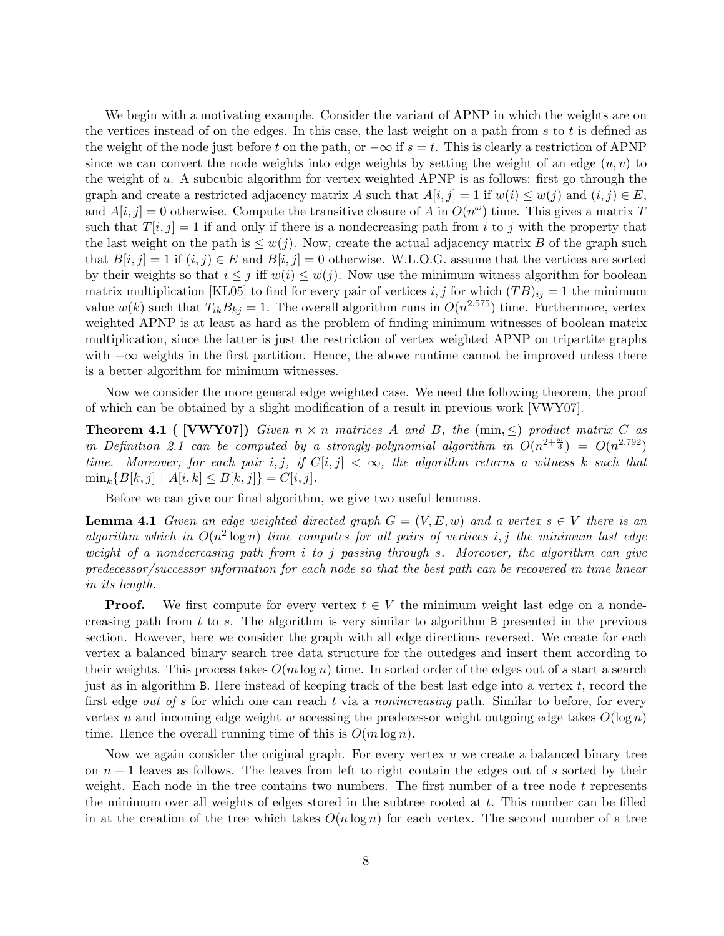We begin with a motivating example. Consider the variant of APNP in which the weights are on the vertices instead of on the edges. In this case, the last weight on a path from s to t is defined as the weight of the node just before t on the path, or  $-\infty$  if  $s = t$ . This is clearly a restriction of APNP since we can convert the node weights into edge weights by setting the weight of an edge  $(u, v)$  to the weight of u. A subcubic algorithm for vertex weighted APNP is as follows: first go through the graph and create a restricted adjacency matrix A such that  $A[i, j] = 1$  if  $w(i) \leq w(j)$  and  $(i, j) \in E$ , and  $A[i, j] = 0$  otherwise. Compute the transitive closure of A in  $O(n^{\omega})$  time. This gives a matrix T such that  $T[i, j] = 1$  if and only if there is a nondecreasing path from i to j with the property that the last weight on the path is  $\leq w(j)$ . Now, create the actual adjacency matrix B of the graph such that  $B[i, j] = 1$  if  $(i, j) \in E$  and  $B[i, j] = 0$  otherwise. W.L.O.G. assume that the vertices are sorted by their weights so that  $i \leq j$  iff  $w(i) \leq w(j)$ . Now use the minimum witness algorithm for boolean matrix multiplication [KL05] to find for every pair of vertices i, j for which  $(TB)_{ii} = 1$  the minimum value  $w(k)$  such that  $T_{ik}B_{kj} = 1$ . The overall algorithm runs in  $O(n^{2.575})$  time. Furthermore, vertex weighted APNP is at least as hard as the problem of finding minimum witnesses of boolean matrix multiplication, since the latter is just the restriction of vertex weighted APNP on tripartite graphs with  $-\infty$  weights in the first partition. Hence, the above runtime cannot be improved unless there is a better algorithm for minimum witnesses.

Now we consider the more general edge weighted case. We need the following theorem, the proof of which can be obtained by a slight modification of a result in previous work [VWY07].

**Theorem 4.1 ( [VWY07])** Given  $n \times n$  matrices A and B, the (min,  $\leq$ ) product matrix C as in Definition 2.1 can be computed by a strongly-polynomial algorithm in  $O(n^{2+\frac{\omega}{3}}) = O(n^{2.792})$ time. Moreover, for each pair i, j, if  $C[i, j] < \infty$ , the algorithm returns a witness k such that  $\min_k \{B[k, j] \mid A[i, k] \leq B[k, j]\} = C[i, j].$ 

Before we can give our final algorithm, we give two useful lemmas.

**Lemma 4.1** Given an edge weighted directed graph  $G = (V, E, w)$  and a vertex  $s \in V$  there is an algorithm which in  $O(n^2 \log n)$  time computes for all pairs of vertices i, j the minimum last edge weight of a nondecreasing path from i to j passing through s. Moreover, the algorithm can give predecessor/successor information for each node so that the best path can be recovered in time linear in its length.

**Proof.** We first compute for every vertex  $t \in V$  the minimum weight last edge on a nondecreasing path from t to s. The algorithm is very similar to algorithm B presented in the previous section. However, here we consider the graph with all edge directions reversed. We create for each vertex a balanced binary search tree data structure for the outedges and insert them according to their weights. This process takes  $O(m \log n)$  time. In sorted order of the edges out of s start a search just as in algorithm B. Here instead of keeping track of the best last edge into a vertex  $t$ , record the first edge *out of s* for which one can reach t via a *nonincreasing* path. Similar to before, for every vertex u and incoming edge weight w accessing the predecessor weight outgoing edge takes  $O(\log n)$ time. Hence the overall running time of this is  $O(m \log n)$ .

Now we again consider the original graph. For every vertex  $u$  we create a balanced binary tree on  $n-1$  leaves as follows. The leaves from left to right contain the edges out of s sorted by their weight. Each node in the tree contains two numbers. The first number of a tree node  $t$  represents the minimum over all weights of edges stored in the subtree rooted at t. This number can be filled in at the creation of the tree which takes  $O(n \log n)$  for each vertex. The second number of a tree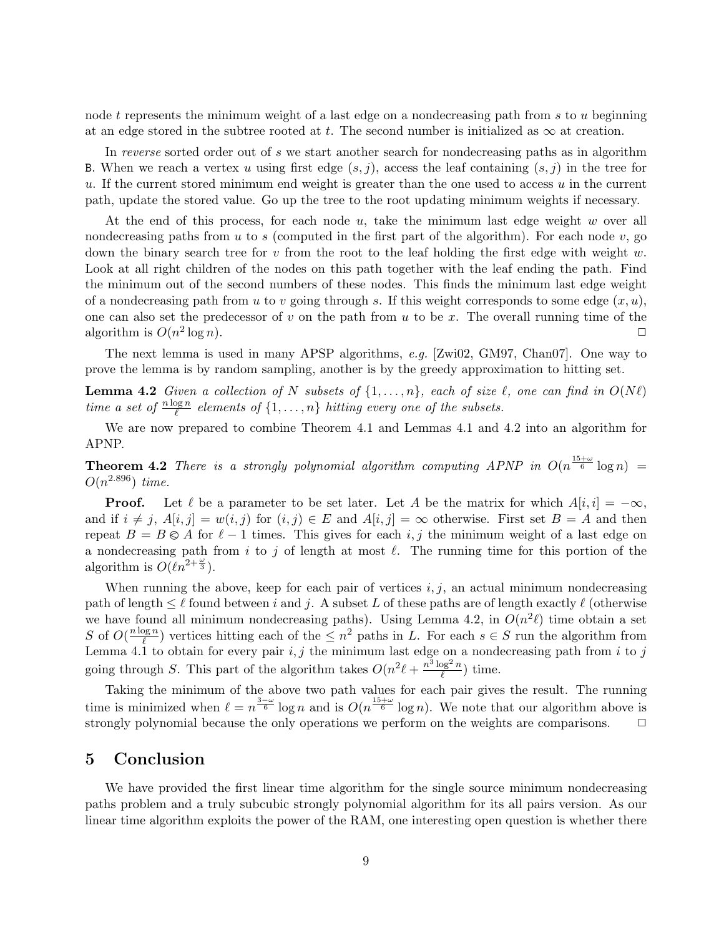node t represents the minimum weight of a last edge on a nondecreasing path from s to u beginning at an edge stored in the subtree rooted at t. The second number is initialized as  $\infty$  at creation.

In reverse sorted order out of s we start another search for nondecreasing paths as in algorithm B. When we reach a vertex u using first edge  $(s, j)$ , access the leaf containing  $(s, j)$  in the tree for u. If the current stored minimum end weight is greater than the one used to access  $u$  in the current path, update the stored value. Go up the tree to the root updating minimum weights if necessary.

At the end of this process, for each node  $u$ , take the minimum last edge weight w over all nondecreasing paths from u to s (computed in the first part of the algorithm). For each node  $v$ , go down the binary search tree for  $v$  from the root to the leaf holding the first edge with weight  $w$ . Look at all right children of the nodes on this path together with the leaf ending the path. Find the minimum out of the second numbers of these nodes. This finds the minimum last edge weight of a nondecreasing path from u to v going through s. If this weight corresponds to some edge  $(x, u)$ , one can also set the predecessor of v on the path from u to be x. The overall running time of the algorithm is  $O(n^2)$  $\log n$ ).

The next lemma is used in many APSP algorithms, e.g. [Zwi02, GM97, Chan07]. One way to prove the lemma is by random sampling, another is by the greedy approximation to hitting set.

**Lemma 4.2** Given a collection of N subsets of  $\{1, \ldots, n\}$ , each of size  $\ell$ , one can find in  $O(N\ell)$ time a set of  $\frac{n \log n}{\ell}$  elements of  $\{1, \ldots, n\}$  hitting every one of the subsets.

We are now prepared to combine Theorem 4.1 and Lemmas 4.1 and 4.2 into an algorithm for APNP.

**Theorem 4.2** There is a strongly polynomial algorithm computing APNP in  $O(n^{\frac{15+\omega}{6}}\log n)$  =  $O(n^{2.896})$  time.

**Proof.** Let  $\ell$  be a parameter to be set later. Let A be the matrix for which  $A[i, i] = -\infty$ , and if  $i \neq j$ ,  $A[i, j] = w(i, j)$  for  $(i, j) \in E$  and  $A[i, j] = \infty$  otherwise. First set  $B = A$  and then repeat  $B = B \otimes A$  for  $\ell - 1$  times. This gives for each i, j the minimum weight of a last edge on a nondecreasing path from i to j of length at most  $\ell$ . The running time for this portion of the algorithm is  $O(\ell n^{2+\frac{\omega}{3}})$ .

When running the above, keep for each pair of vertices  $i, j$ , an actual minimum nondecreasing path of length  $\leq \ell$  found between i and j. A subset L of these paths are of length exactly  $\ell$  (otherwise we have found all minimum nondecreasing paths). Using Lemma 4.2, in  $O(n^2\ell)$  time obtain a set S of  $O(\frac{n \log n}{\ell})$  $\frac{\log n}{\ell}$ ) vertices hitting each of the  $\leq n^2$  paths in L. For each  $s \in S$  run the algorithm from Lemma 4.1 to obtain for every pair  $i, j$  the minimum last edge on a nondecreasing path from i to j going through S. This part of the algorithm takes  $O(n^2\ell + \frac{n^3\log^2 n}{\ell})$  $\frac{\log^2 n}{\ell}$ ) time.

Taking the minimum of the above two path values for each pair gives the result. The running time is minimized when  $\ell = n^{\frac{3-\omega}{6}} \log n$  and is  $O(n^{\frac{15+\omega}{6}} \log n)$ . We note that our algorithm above is strongly polynomial because the only operations we perform on the weights are comparisons.  $\Box$ 

### 5 Conclusion

We have provided the first linear time algorithm for the single source minimum nondecreasing paths problem and a truly subcubic strongly polynomial algorithm for its all pairs version. As our linear time algorithm exploits the power of the RAM, one interesting open question is whether there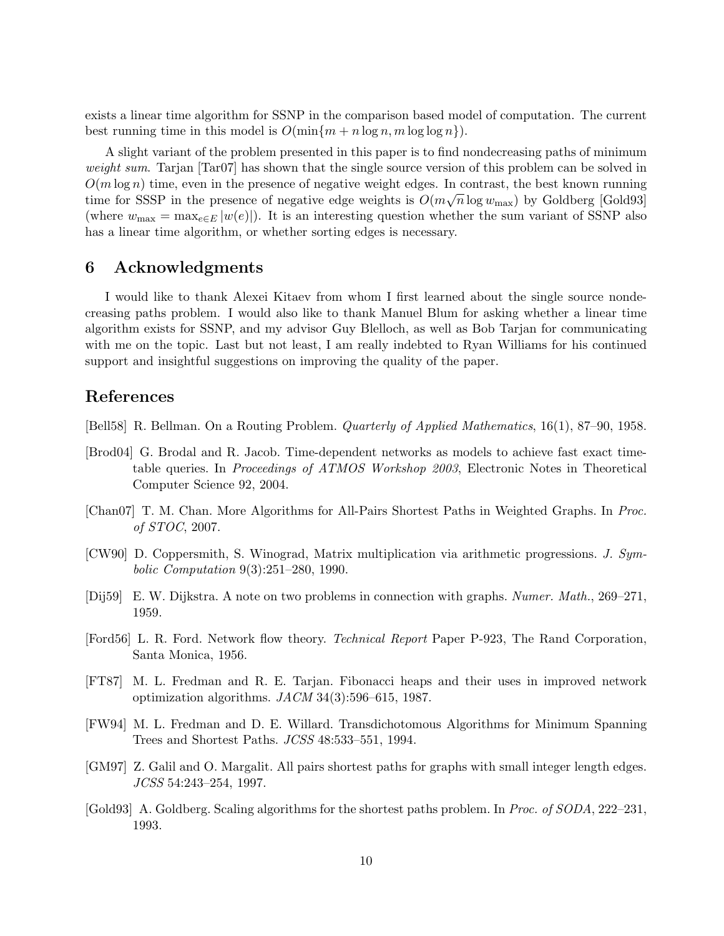exists a linear time algorithm for SSNP in the comparison based model of computation. The current best running time in this model is  $O(\min\{m + n \log n, m \log \log n\})$ .

A slight variant of the problem presented in this paper is to find nondecreasing paths of minimum weight sum. Tarjan [Tar07] has shown that the single source version of this problem can be solved in  $O(m \log n)$  time, even in the presence of negative weight edges. In contrast, the best known running time for SSSP in the presence of negative edge weights is  $O(m\sqrt{n}\log w_{\text{max}})$  by Goldberg [Gold93] (where  $w_{\text{max}} = \max_{e \in E} |w(e)|$ ). It is an interesting question whether the sum variant of SSNP also has a linear time algorithm, or whether sorting edges is necessary.

## 6 Acknowledgments

I would like to thank Alexei Kitaev from whom I first learned about the single source nondecreasing paths problem. I would also like to thank Manuel Blum for asking whether a linear time algorithm exists for SSNP, and my advisor Guy Blelloch, as well as Bob Tarjan for communicating with me on the topic. Last but not least, I am really indebted to Ryan Williams for his continued support and insightful suggestions on improving the quality of the paper.

#### References

[Bell58] R. Bellman. On a Routing Problem. Quarterly of Applied Mathematics, 16(1), 87–90, 1958.

- [Brod04] G. Brodal and R. Jacob. Time-dependent networks as models to achieve fast exact timetable queries. In *Proceedings of ATMOS Workshop 2003*, Electronic Notes in Theoretical Computer Science 92, 2004.
- [Chan07] T. M. Chan. More Algorithms for All-Pairs Shortest Paths in Weighted Graphs. In Proc. of STOC, 2007.
- [CW90] D. Coppersmith, S. Winograd, Matrix multiplication via arithmetic progressions. J. Symbolic Computation 9(3):251–280, 1990.
- [Dij59] E. W. Dijkstra. A note on two problems in connection with graphs. Numer. Math., 269–271, 1959.
- [Ford56] L. R. Ford. Network flow theory. Technical Report Paper P-923, The Rand Corporation, Santa Monica, 1956.
- [FT87] M. L. Fredman and R. E. Tarjan. Fibonacci heaps and their uses in improved network optimization algorithms.  $JACM$  34(3):596–615, 1987.
- [FW94] M. L. Fredman and D. E. Willard. Transdichotomous Algorithms for Minimum Spanning Trees and Shortest Paths. JCSS 48:533–551, 1994.
- [GM97] Z. Galil and O. Margalit. All pairs shortest paths for graphs with small integer length edges. JCSS 54:243–254, 1997.
- [Gold93] A. Goldberg. Scaling algorithms for the shortest paths problem. In Proc. of SODA, 222–231, 1993.